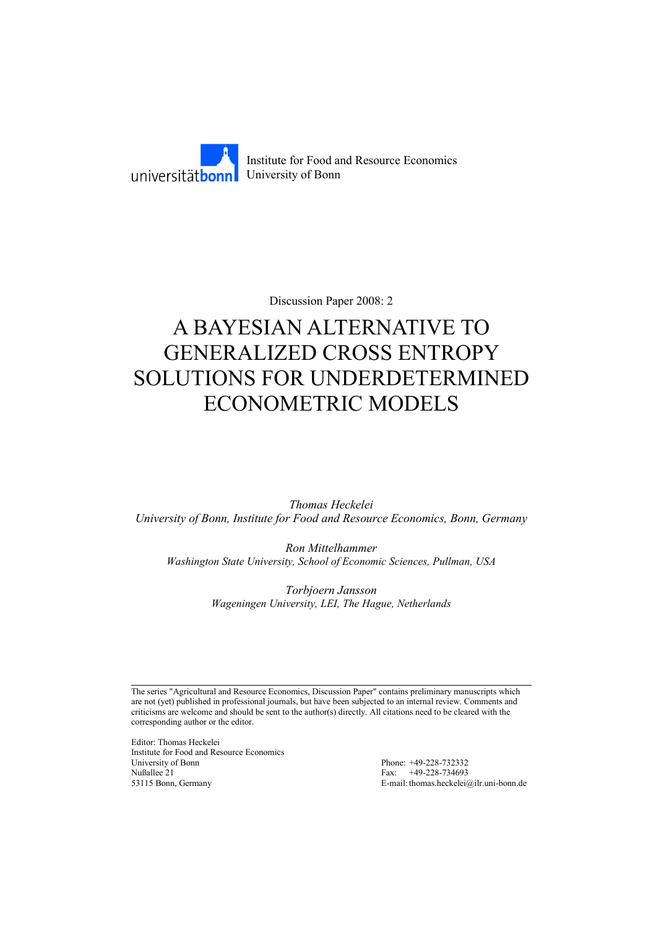

Discussion Paper 2008: 2

# A BAYESIAN ALTERNATIVE TO GENERALIZED CROSS ENTROPY SOLUTIONS FOR UNDERDETERMINED ECONOMETRIC MODELS

*Thomas Heckelei University of Bonn, Institute for Food and Resource Economics, Bonn, Germany* 

*Ron Mittelhammer Washington State University, School of Economic Sciences, Pullman, USA*

> *Torbjoern Jansson Wageningen University, LEI, The Hague, Netherlands*

The series "Agricultural and Resource Economics, Discussion Paper" contains preliminary manuscripts which are not (yet) published in professional journals, but have been subjected to an internal review. Comments and criticisms are welcome and should be sent to the author(s) directly. All citations need to be cleared with the corresponding author or the editor.

Editor: Thomas Heckelei Institute for Food and Resource Economics University of Bonn Phone: +49-228-732332 Nußallee 21 Fax: +49-228-734693 53115 Bonn, Germany E-mail: thomas.heckelei@ilr.uni-bonn.de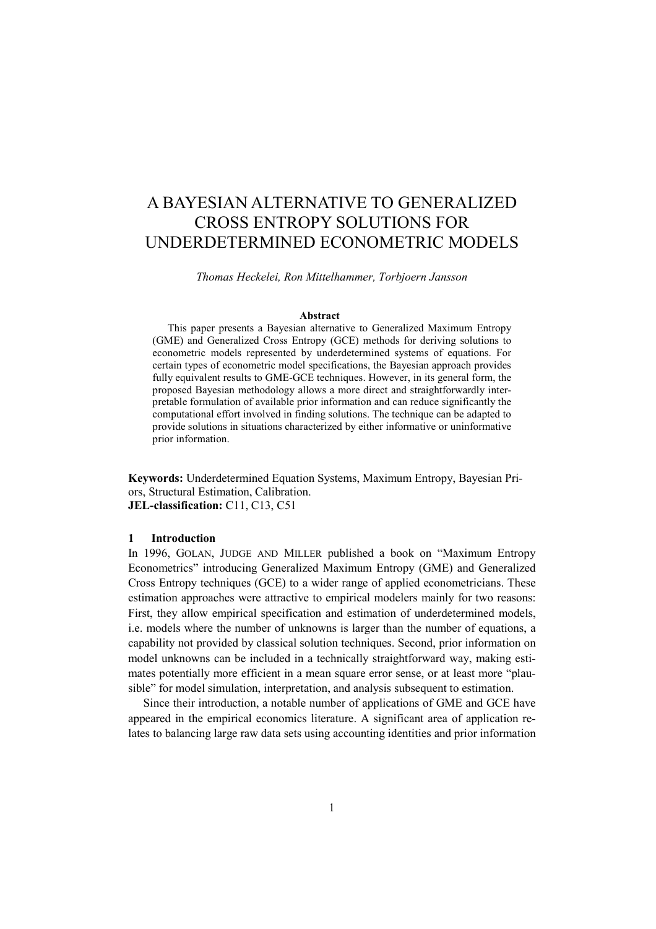## A BAYESIAN ALTERNATIVE TO GENERALIZED CROSS ENTROPY SOLUTIONS FOR UNDERDETERMINED ECONOMETRIC MODELS

*Thomas Heckelei, Ron Mittelhammer, Torbjoern Jansson* 

#### **Abstract**

This paper presents a Bayesian alternative to Generalized Maximum Entropy (GME) and Generalized Cross Entropy (GCE) methods for deriving solutions to econometric models represented by underdetermined systems of equations. For certain types of econometric model specifications, the Bayesian approach provides fully equivalent results to GME-GCE techniques. However, in its general form, the proposed Bayesian methodology allows a more direct and straightforwardly interpretable formulation of available prior information and can reduce significantly the computational effort involved in finding solutions. The technique can be adapted to provide solutions in situations characterized by either informative or uninformative prior information.

**Keywords:** Underdetermined Equation Systems, Maximum Entropy, Bayesian Priors, Structural Estimation, Calibration. **JEL-classification:** C11, C13, C51

#### **1 Introduction**

In 1996, GOLAN, JUDGE AND MILLER published a book on "Maximum Entropy Econometrics" introducing Generalized Maximum Entropy (GME) and Generalized Cross Entropy techniques (GCE) to a wider range of applied econometricians. These estimation approaches were attractive to empirical modelers mainly for two reasons: First, they allow empirical specification and estimation of underdetermined models, i.e. models where the number of unknowns is larger than the number of equations, a capability not provided by classical solution techniques. Second, prior information on model unknowns can be included in a technically straightforward way, making estimates potentially more efficient in a mean square error sense, or at least more "plausible" for model simulation, interpretation, and analysis subsequent to estimation.

Since their introduction, a notable number of applications of GME and GCE have appeared in the empirical economics literature. A significant area of application relates to balancing large raw data sets using accounting identities and prior information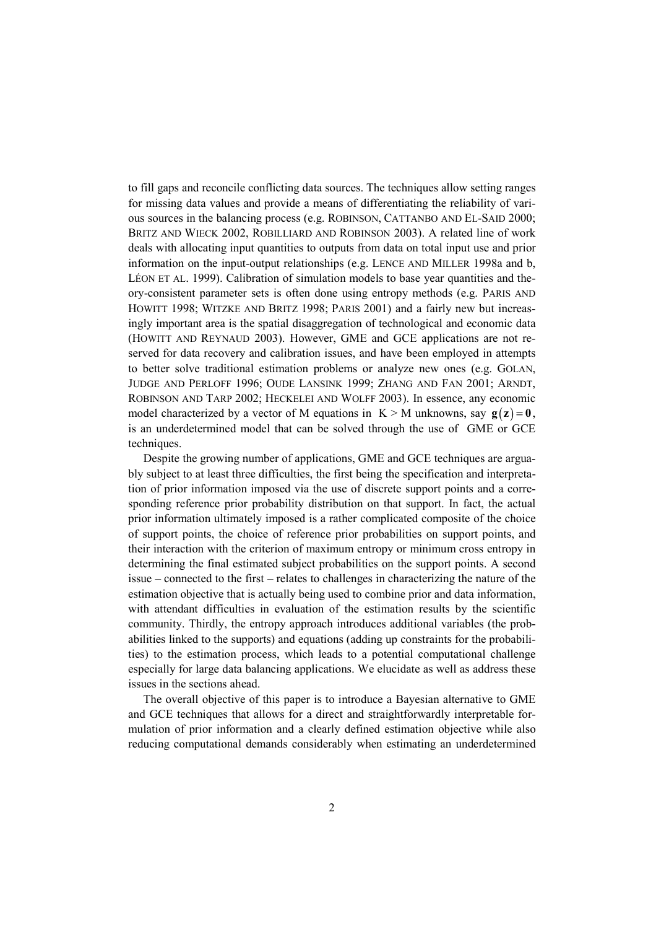to fill gaps and reconcile conflicting data sources. The techniques allow setting ranges for missing data values and provide a means of differentiating the reliability of various sources in the balancing process (e.g. ROBINSON, CATTANBO AND EL-SAID 2000; BRITZ AND WIECK 2002, ROBILLIARD AND ROBINSON 2003). A related line of work deals with allocating input quantities to outputs from data on total input use and prior information on the input-output relationships (e.g. LENCE AND MILLER 1998a and b, LÉON ET AL. 1999). Calibration of simulation models to base year quantities and theory-consistent parameter sets is often done using entropy methods (e.g. PARIS AND HOWITT 1998; WITZKE AND BRITZ 1998; PARIS 2001) and a fairly new but increasingly important area is the spatial disaggregation of technological and economic data (HOWITT AND REYNAUD 2003). However, GME and GCE applications are not reserved for data recovery and calibration issues, and have been employed in attempts to better solve traditional estimation problems or analyze new ones (e.g. GOLAN, JUDGE AND PERLOFF 1996; OUDE LANSINK 1999; ZHANG AND FAN 2001; ARNDT, ROBINSON AND TARP 2002; HECKELEI AND WOLFF 2003). In essence, any economic model characterized by a vector of M equations in  $K > M$  unknowns, say  $g(z) = 0$ , is an underdetermined model that can be solved through the use of GME or GCE techniques.

Despite the growing number of applications, GME and GCE techniques are arguably subject to at least three difficulties, the first being the specification and interpretation of prior information imposed via the use of discrete support points and a corresponding reference prior probability distribution on that support. In fact, the actual prior information ultimately imposed is a rather complicated composite of the choice of support points, the choice of reference prior probabilities on support points, and their interaction with the criterion of maximum entropy or minimum cross entropy in determining the final estimated subject probabilities on the support points. A second issue – connected to the first – relates to challenges in characterizing the nature of the estimation objective that is actually being used to combine prior and data information, with attendant difficulties in evaluation of the estimation results by the scientific community. Thirdly, the entropy approach introduces additional variables (the probabilities linked to the supports) and equations (adding up constraints for the probabilities) to the estimation process, which leads to a potential computational challenge especially for large data balancing applications. We elucidate as well as address these issues in the sections ahead.

The overall objective of this paper is to introduce a Bayesian alternative to GME and GCE techniques that allows for a direct and straightforwardly interpretable formulation of prior information and a clearly defined estimation objective while also reducing computational demands considerably when estimating an underdetermined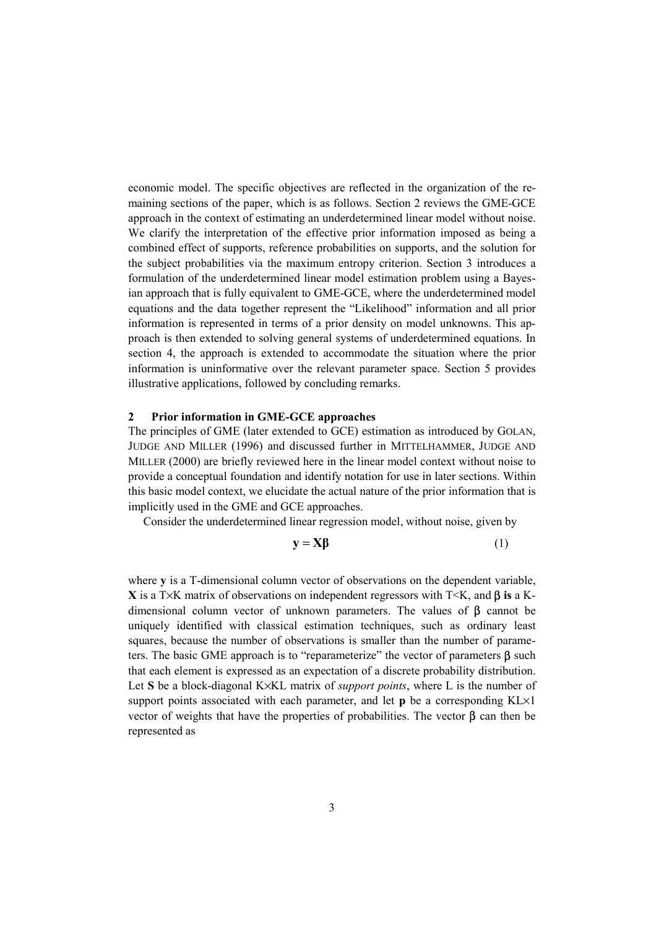economic model. The specific objectives are reflected in the organization of the remaining sections of the paper, which is as follows. Section 2 reviews the GME-GCE approach in the context of estimating an underdetermined linear model without noise. We clarify the interpretation of the effective prior information imposed as being a combined effect of supports, reference probabilities on supports, and the solution for the subject probabilities via the maximum entropy criterion. Section 3 introduces a formulation of the underdetermined linear model estimation problem using a Bayesian approach that is fully equivalent to GME-GCE, where the underdetermined model equations and the data together represent the "Likelihood" information and all prior information is represented in terms of a prior density on model unknowns. This approach is then extended to solving general systems of underdetermined equations. In section 4, the approach is extended to accommodate the situation where the prior information is uninformative over the relevant parameter space. Section 5 provides illustrative applications, followed by concluding remarks.

### **2 Prior information in GME-GCE approaches**

The principles of GME (later extended to GCE) estimation as introduced by GOLAN, JUDGE AND MILLER (1996) and discussed further in MITTELHAMMER, JUDGE AND MILLER (2000) are briefly reviewed here in the linear model context without noise to provide a conceptual foundation and identify notation for use in later sections. Within this basic model context, we elucidate the actual nature of the prior information that is implicitly used in the GME and GCE approaches.

Consider the underdetermined linear regression model, without noise, given by

$$
y = X\beta \tag{1}
$$

where **y** is a T-dimensional column vector of observations on the dependent variable, **X** is a T×K matrix of observations on independent regressors with T<K, and β **is** a Kdimensional column vector of unknown parameters. The values of  $\beta$  cannot be uniquely identified with classical estimation techniques, such as ordinary least squares, because the number of observations is smaller than the number of parameters. The basic GME approach is to "reparameterize" the vector of parameters  $\beta$  such that each element is expressed as an expectation of a discrete probability distribution. Let **S** be a block-diagonal K×KL matrix of *support points*, where L is the number of support points associated with each parameter, and let **p** be a corresponding KL×1 vector of weights that have the properties of probabilities. The vector  $\beta$  can then be represented as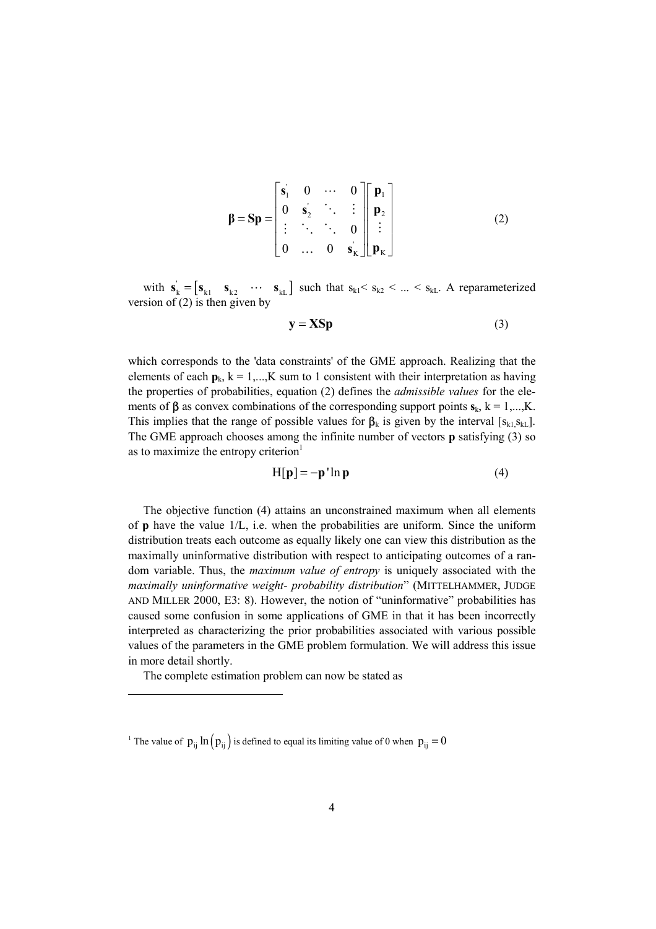$$
\beta = \mathbf{Sp} = \begin{bmatrix} \mathbf{s}_1 & 0 & \cdots & 0 \\ 0 & \mathbf{s}_2 & \ddots & \vdots \\ \vdots & \ddots & \ddots & 0 \\ 0 & \cdots & 0 & \mathbf{s}_k \end{bmatrix} \begin{bmatrix} \mathbf{p}_1 \\ \mathbf{p}_2 \\ \vdots \\ \mathbf{p}_k \end{bmatrix}
$$
 (2)

with  $\mathbf{s}_{k} = [\mathbf{s}_{k1} \quad \mathbf{s}_{k2} \quad \cdots \quad \mathbf{s}_{kL}]$  such that  $s_{k1} < s_{k2} < ... < s_{kL}$ . A reparameterized version of  $(2)$  is then given by

$$
y = XSp
$$
 (3)

which corresponds to the 'data constraints' of the GME approach. Realizing that the elements of each  $p_k$ ,  $k = 1,...,K$  sum to 1 consistent with their interpretation as having the properties of probabilities, equation (2) defines the *admissible values* for the elements of  $\beta$  as convex combinations of the corresponding support points  $\mathbf{s}_k$ ,  $k = 1,...,K$ . This implies that the range of possible values for  $\beta_k$  is given by the interval [ $s_{k1}, s_{kL}$ ]. The GME approach chooses among the infinite number of vectors **p** satisfying (3) so as to maximize the entropy criterion<sup>1</sup>

$$
H[\mathbf{p}] = -\mathbf{p}' \ln \mathbf{p} \tag{4}
$$

The objective function (4) attains an unconstrained maximum when all elements of **p** have the value  $1/L$ , i.e. when the probabilities are uniform. Since the uniform distribution treats each outcome as equally likely one can view this distribution as the maximally uninformative distribution with respect to anticipating outcomes of a random variable. Thus, the *maximum value of entropy* is uniquely associated with the *maximally uninformative weight- probability distribution*" (MITTELHAMMER, JUDGE AND MILLER 2000, E3: 8). However, the notion of "uninformative" probabilities has caused some confusion in some applications of GME in that it has been incorrectly interpreted as characterizing the prior probabilities associated with various possible values of the parameters in the GME problem formulation. We will address this issue in more detail shortly.

The complete estimation problem can now be stated as

l

<sup>&</sup>lt;sup>1</sup> The value of  $p_{ij} \ln (p_{ij})$  is defined to equal its limiting value of 0 when  $p_{ij} = 0$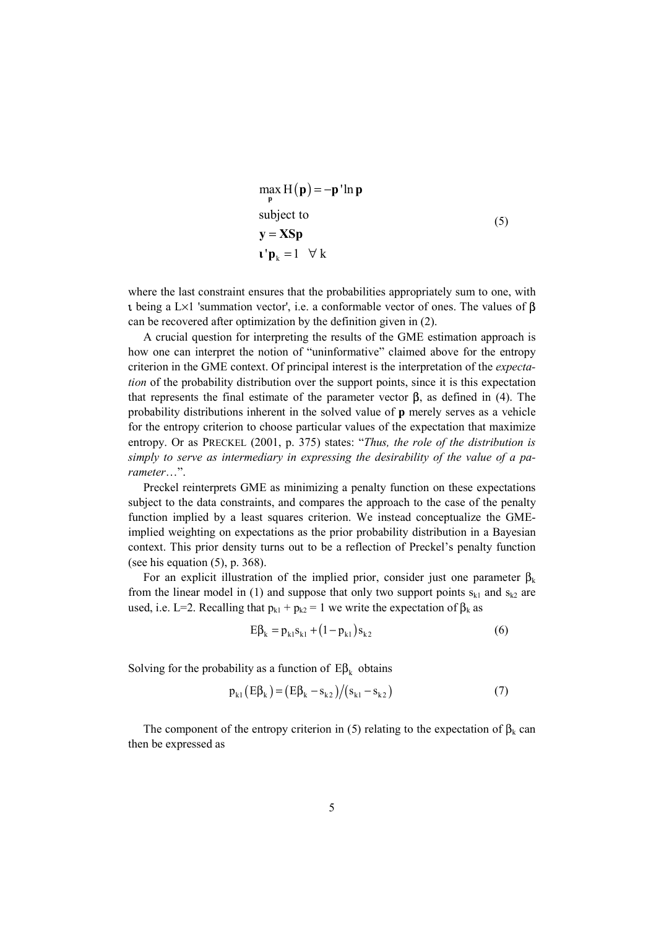$$
\max_{\mathbf{p}} H(\mathbf{p}) = -\mathbf{p}' \ln \mathbf{p}
$$
  
subject to  

$$
\mathbf{y} = \mathbf{X} \mathbf{S} \mathbf{p}
$$
  

$$
\mathbf{v}' \mathbf{p}_k = 1 \quad \forall k
$$
 (5)

where the last constraint ensures that the probabilities appropriately sum to one, with **ι** being a L×1 'summation vector', i.e. a conformable vector of ones. The values of  $β$ can be recovered after optimization by the definition given in (2).

A crucial question for interpreting the results of the GME estimation approach is how one can interpret the notion of "uninformative" claimed above for the entropy criterion in the GME context. Of principal interest is the interpretation of the *expectation* of the probability distribution over the support points, since it is this expectation that represents the final estimate of the parameter vector **β**, as defined in (4). The probability distributions inherent in the solved value of **p** merely serves as a vehicle for the entropy criterion to choose particular values of the expectation that maximize entropy. Or as PRECKEL (2001, p. 375) states: "*Thus, the role of the distribution is simply to serve as intermediary in expressing the desirability of the value of a parameter*…".

Preckel reinterprets GME as minimizing a penalty function on these expectations subject to the data constraints, and compares the approach to the case of the penalty function implied by a least squares criterion. We instead conceptualize the GMEimplied weighting on expectations as the prior probability distribution in a Bayesian context. This prior density turns out to be a reflection of Preckel's penalty function (see his equation (5), p. 368).

For an explicit illustration of the implied prior, consider just one parameter  $\beta_k$ from the linear model in (1) and suppose that only two support points  $s_{k1}$  and  $s_{k2}$  are used, i.e. L=2. Recalling that  $p_{k1} + p_{k2} = 1$  we write the expectation of  $\beta_k$  as

$$
E\beta_k = p_{k1} s_{k1} + (1 - p_{k1}) s_{k2}
$$
 (6)

Solving for the probability as a function of  $E\beta_k$  obtains

$$
p_{k1}(E\beta_k) = (E\beta_k - s_{k2})/(s_{k1} - s_{k2})
$$
\n(7)

The component of the entropy criterion in (5) relating to the expectation of  $\beta_k$  can then be expressed as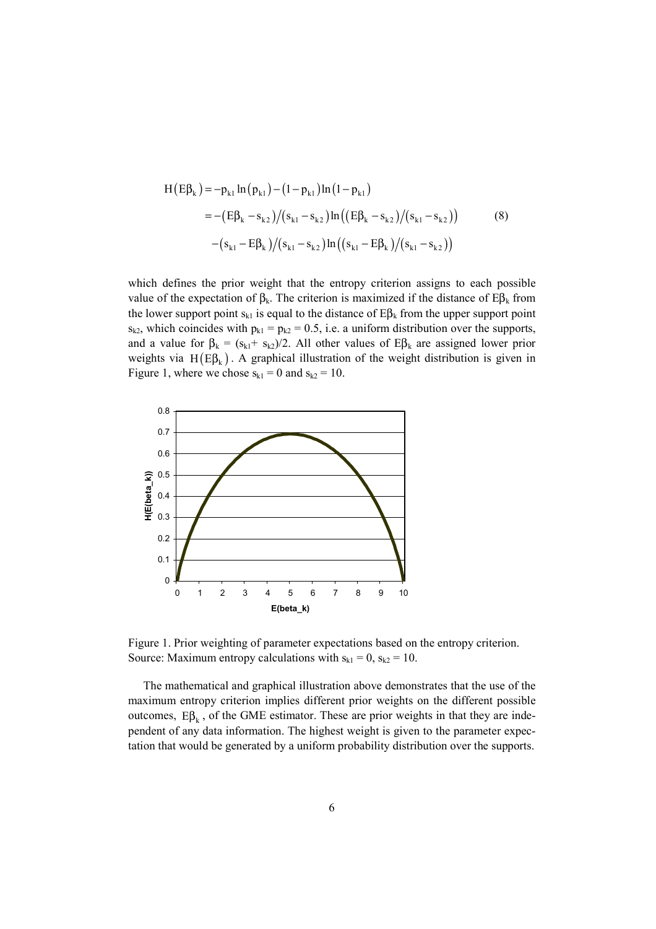$$
H(E\beta_{k}) = -p_{k1} \ln (p_{k1}) - (1 - p_{k1}) \ln (1 - p_{k1})
$$
  
= - (E\beta\_{k} - s\_{k2})/(s\_{k1} - s\_{k2}) \ln ((E\beta\_{k} - s\_{k2})/(s\_{k1} - s\_{k2})) (8)  
-(s\_{k1} - E\beta\_{k})/(s\_{k1} - s\_{k2}) \ln ((s\_{k1} - E\beta\_{k})/(s\_{k1} - s\_{k2}))

which defines the prior weight that the entropy criterion assigns to each possible value of the expectation of  $β_k$ . The criterion is maximized if the distance of  $Eβ_k$  from the lower support point  $s_{kl}$  is equal to the distance of  $E\beta_k$  from the upper support point  $s_{k2}$ , which coincides with  $p_{k1} = p_{k2} = 0.5$ , i.e. a uniform distribution over the supports, and a value for  $\beta_k = (s_{k1} + s_{k2})/2$ . All other values of  $E\beta_k$  are assigned lower prior weights via H( $E\beta_k$ ). A graphical illustration of the weight distribution is given in Figure 1, where we chose  $s_{k1} = 0$  and  $s_{k2} = 10$ .



Figure 1. Prior weighting of parameter expectations based on the entropy criterion. Source: Maximum entropy calculations with  $s_{k1} = 0$ ,  $s_{k2} = 10$ .

The mathematical and graphical illustration above demonstrates that the use of the maximum entropy criterion implies different prior weights on the different possible outcomes,  $Eβ_k$ , of the GME estimator. These are prior weights in that they are independent of any data information. The highest weight is given to the parameter expectation that would be generated by a uniform probability distribution over the supports.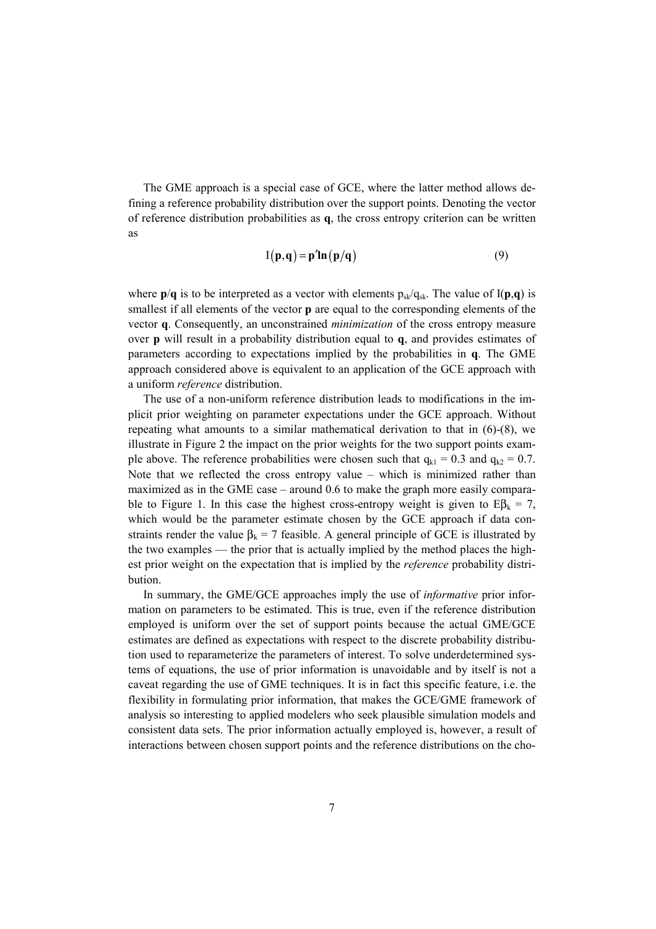The GME approach is a special case of GCE, where the latter method allows defining a reference probability distribution over the support points. Denoting the vector of reference distribution probabilities as **q**, the cross entropy criterion can be written as

$$
I(\mathbf{p}, \mathbf{q}) = \mathbf{p}' \mathbf{ln}(\mathbf{p}/\mathbf{q})
$$
 (9)

where  $p/q$  is to be interpreted as a vector with elements  $p_{sk}/q_{sk}$ . The value of  $I(p,q)$  is smallest if all elements of the vector **p** are equal to the corresponding elements of the vector **q**. Consequently, an unconstrained *minimization* of the cross entropy measure over **p** will result in a probability distribution equal to **q**, and provides estimates of parameters according to expectations implied by the probabilities in **q**. The GME approach considered above is equivalent to an application of the GCE approach with a uniform *reference* distribution.

The use of a non-uniform reference distribution leads to modifications in the implicit prior weighting on parameter expectations under the GCE approach. Without repeating what amounts to a similar mathematical derivation to that in (6)-(8), we illustrate in Figure 2 the impact on the prior weights for the two support points example above. The reference probabilities were chosen such that  $q_{k1} = 0.3$  and  $q_{k2} = 0.7$ . Note that we reflected the cross entropy value – which is minimized rather than maximized as in the GME case – around 0.6 to make the graph more easily comparable to Figure 1. In this case the highest cross-entropy weight is given to  $E\beta_k = 7$ , which would be the parameter estimate chosen by the GCE approach if data constraints render the value  $\beta_k = 7$  feasible. A general principle of GCE is illustrated by the two examples — the prior that is actually implied by the method places the highest prior weight on the expectation that is implied by the *reference* probability distribution.

In summary, the GME/GCE approaches imply the use of *informative* prior information on parameters to be estimated. This is true, even if the reference distribution employed is uniform over the set of support points because the actual GME/GCE estimates are defined as expectations with respect to the discrete probability distribution used to reparameterize the parameters of interest. To solve underdetermined systems of equations, the use of prior information is unavoidable and by itself is not a caveat regarding the use of GME techniques. It is in fact this specific feature, i.e. the flexibility in formulating prior information, that makes the GCE/GME framework of analysis so interesting to applied modelers who seek plausible simulation models and consistent data sets. The prior information actually employed is, however, a result of interactions between chosen support points and the reference distributions on the cho-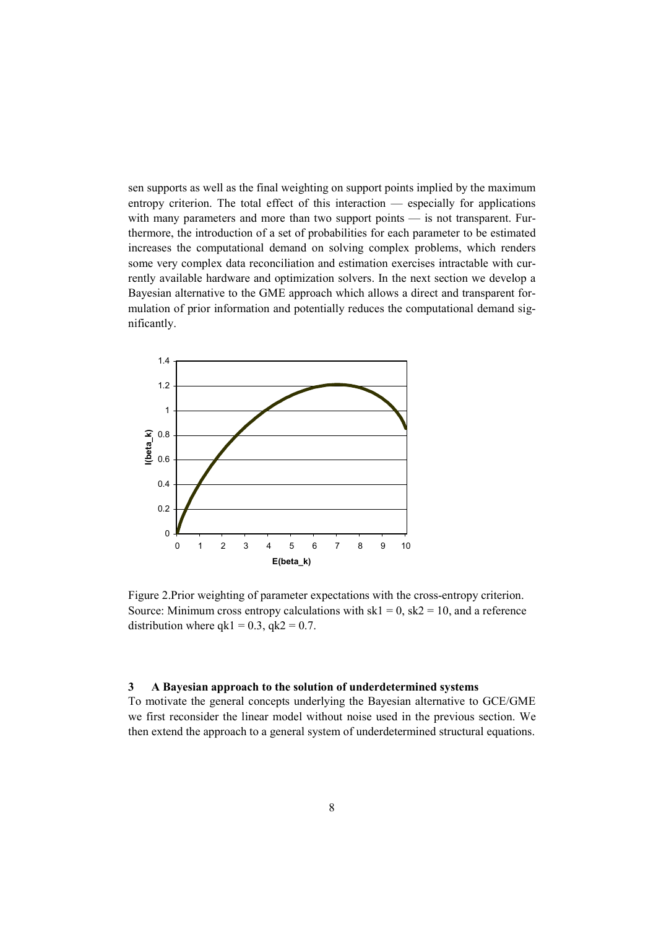sen supports as well as the final weighting on support points implied by the maximum entropy criterion. The total effect of this interaction — especially for applications with many parameters and more than two support points — is not transparent. Furthermore, the introduction of a set of probabilities for each parameter to be estimated increases the computational demand on solving complex problems, which renders some very complex data reconciliation and estimation exercises intractable with currently available hardware and optimization solvers. In the next section we develop a Bayesian alternative to the GME approach which allows a direct and transparent formulation of prior information and potentially reduces the computational demand significantly.



Figure 2.Prior weighting of parameter expectations with the cross-entropy criterion. Source: Minimum cross entropy calculations with  $sk1 = 0$ ,  $sk2 = 10$ , and a reference distribution where  $qk1 = 0.3$ ,  $qk2 = 0.7$ .

#### **3 A Bayesian approach to the solution of underdetermined systems**

To motivate the general concepts underlying the Bayesian alternative to GCE/GME we first reconsider the linear model without noise used in the previous section. We then extend the approach to a general system of underdetermined structural equations.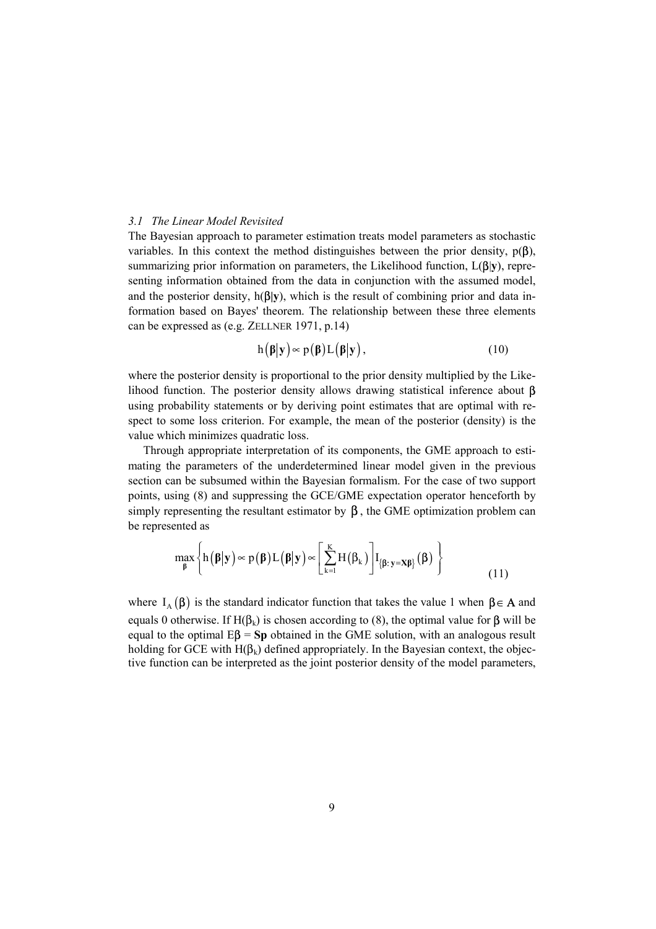#### *3.1 The Linear Model Revisited*

The Bayesian approach to parameter estimation treats model parameters as stochastic variables. In this context the method distinguishes between the prior density,  $p(\beta)$ , summarizing prior information on parameters, the Likelihood function, L(β|**y**), representing information obtained from the data in conjunction with the assumed model, and the posterior density, h(β**|y**), which is the result of combining prior and data information based on Bayes' theorem. The relationship between these three elements can be expressed as (e.g. ZELLNER 1971, p.14)

$$
h(\beta|\mathbf{y}) \propto p(\beta)L(\beta|\mathbf{y}), \qquad (10)
$$

where the posterior density is proportional to the prior density multiplied by the Likelihood function. The posterior density allows drawing statistical inference about β using probability statements or by deriving point estimates that are optimal with respect to some loss criterion. For example, the mean of the posterior (density) is the value which minimizes quadratic loss.

Through appropriate interpretation of its components, the GME approach to estimating the parameters of the underdetermined linear model given in the previous section can be subsumed within the Bayesian formalism. For the case of two support points, using (8) and suppressing the GCE/GME expectation operator henceforth by simply representing the resultant estimator by  $\beta$ , the GME optimization problem can be represented as

$$
\max_{\beta} \left\{ h(\beta|\mathbf{y}) \propto p(\beta) L(\beta|\mathbf{y}) \propto \left[ \sum_{k=1}^{K} H(\beta_k) \right] I_{\{\beta: \mathbf{y} = \mathbf{X}\beta\}}(\beta) \right\}
$$
(11)

where  $I_A(\beta)$  is the standard indicator function that takes the value 1 when  $\beta \in A$  and equals 0 otherwise. If H( $\beta_k$ ) is chosen according to (8), the optimal value for  $\beta$  will be equal to the optimal  $E\beta = Sp$  obtained in the GME solution, with an analogous result holding for GCE with  $H(\beta_k)$  defined appropriately. In the Bayesian context, the objective function can be interpreted as the joint posterior density of the model parameters,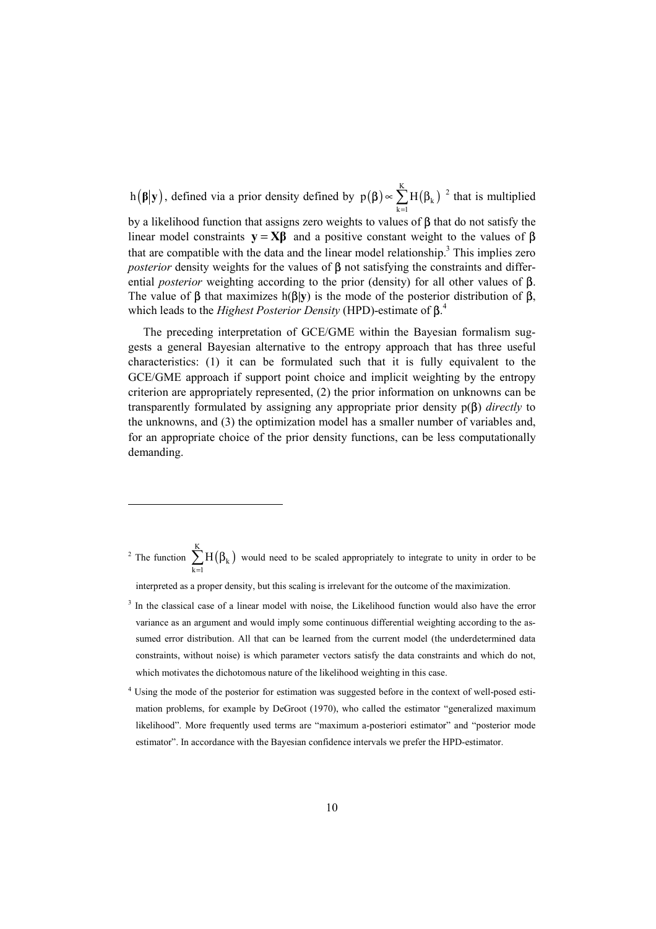h( $\beta$ |**y**), defined via a prior density defined by  $p(\beta) \propto \sum_{k=1}^{K} H(\beta_k)$  $\sum_{k=1}$   $\mathbf{H}(\mathbf{p}_k)$  $p(\boldsymbol{\beta}) \propto \sum H$  $\beta$ )  $\propto \sum_{k=1}$  H( $\beta_k$ )<sup>2</sup> that is multiplied by a likelihood function that assigns zero weights to values of  $\beta$  that do not satisfy the linear model constraints  $\mathbf{v} = \mathbf{X}\mathbf{B}$  and a positive constant weight to the values of  $\beta$ that are compatible with the data and the linear model relationship.<sup>3</sup> This implies zero *posterior* density weights for the values of **β** not satisfying the constraints and differential *posterior* weighting according to the prior (density) for all other values of β. The value of β that maximizes h(β**|y**) is the mode of the posterior distribution of β, which leads to the *Highest Posterior Density* (HPD)-estimate of β. 4

The preceding interpretation of GCE/GME within the Bayesian formalism suggests a general Bayesian alternative to the entropy approach that has three useful characteristics: (1) it can be formulated such that it is fully equivalent to the GCE/GME approach if support point choice and implicit weighting by the entropy criterion are appropriately represented, (2) the prior information on unknowns can be transparently formulated by assigning any appropriate prior density p(β) *directly* to the unknowns, and (3) the optimization model has a smaller number of variables and, for an appropriate choice of the prior density functions, can be less computationally demanding.

<sup>2</sup> The function  $\sum H(\beta_k)$ K  $\sum_{k=1}$ <sup>11</sup>( $P_k$  $\sum H(\beta_k)$  would need to be scaled appropriately to integrate to unity in order to be =

interpreted as a proper density, but this scaling is irrelevant for the outcome of the maximization.

l

- <sup>3</sup> In the classical case of a linear model with noise, the Likelihood function would also have the error variance as an argument and would imply some continuous differential weighting according to the assumed error distribution. All that can be learned from the current model (the underdetermined data constraints, without noise) is which parameter vectors satisfy the data constraints and which do not, which motivates the dichotomous nature of the likelihood weighting in this case.
- <sup>4</sup> Using the mode of the posterior for estimation was suggested before in the context of well-posed estimation problems, for example by DeGroot (1970), who called the estimator "generalized maximum likelihood". More frequently used terms are "maximum a-posteriori estimator" and "posterior mode estimator". In accordance with the Bayesian confidence intervals we prefer the HPD-estimator.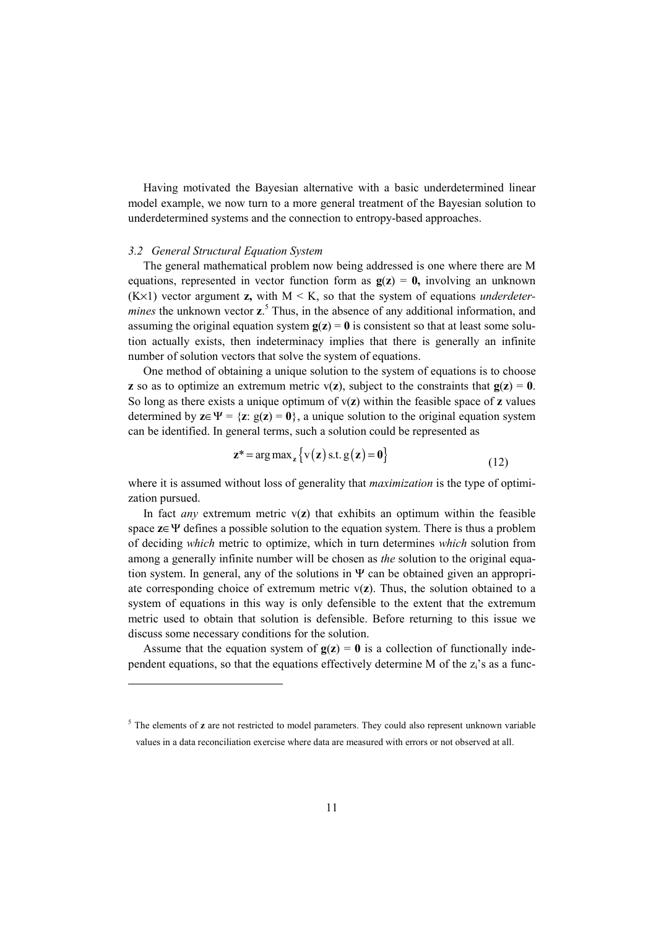Having motivated the Bayesian alternative with a basic underdetermined linear model example, we now turn to a more general treatment of the Bayesian solution to underdetermined systems and the connection to entropy-based approaches.

#### *3.2 General Structural Equation System*

l

The general mathematical problem now being addressed is one where there are M equations, represented in vector function form as  $g(z) = 0$ , involving an unknown  $(K \times 1)$  vector argument **z**, with  $M \le K$ , so that the system of equations *underdeter*mines the unknown vector **z**.<sup>5</sup> Thus, in the absence of any additional information, and assuming the original equation system  $g(z) = 0$  is consistent so that at least some solution actually exists, then indeterminacy implies that there is generally an infinite number of solution vectors that solve the system of equations.

One method of obtaining a unique solution to the system of equations is to choose **z** so as to optimize an extremum metric  $v(z)$ , subject to the constraints that  $g(z) = 0$ . So long as there exists a unique optimum of v(**z**) within the feasible space of **z** values determined by  $z \in \Psi = \{z : g(z) = 0\}$ , a unique solution to the original equation system can be identified. In general terms, such a solution could be represented as

$$
\mathbf{z}^* = \arg \max_{\mathbf{z}} \left\{ \mathbf{v}(\mathbf{z}) \text{ s.t. } \mathbf{g}(\mathbf{z}) = \mathbf{0} \right\} \tag{12}
$$

where it is assumed without loss of generality that *maximization* is the type of optimization pursued.

In fact *any* extremum metric  $v(z)$  that exhibits an optimum within the feasible space **z**∈Ψ defines a possible solution to the equation system. There is thus a problem of deciding *which* metric to optimize, which in turn determines *which* solution from among a generally infinite number will be chosen as *the* solution to the original equation system. In general, any of the solutions in Ψ can be obtained given an appropriate corresponding choice of extremum metric  $v(z)$ . Thus, the solution obtained to a system of equations in this way is only defensible to the extent that the extremum metric used to obtain that solution is defensible. Before returning to this issue we discuss some necessary conditions for the solution.

Assume that the equation system of  $g(z) = 0$  is a collection of functionally independent equations, so that the equations effectively determine M of the  $z_i$ 's as a func-

<sup>&</sup>lt;sup>5</sup> The elements of **z** are not restricted to model parameters. They could also represent unknown variable values in a data reconciliation exercise where data are measured with errors or not observed at all.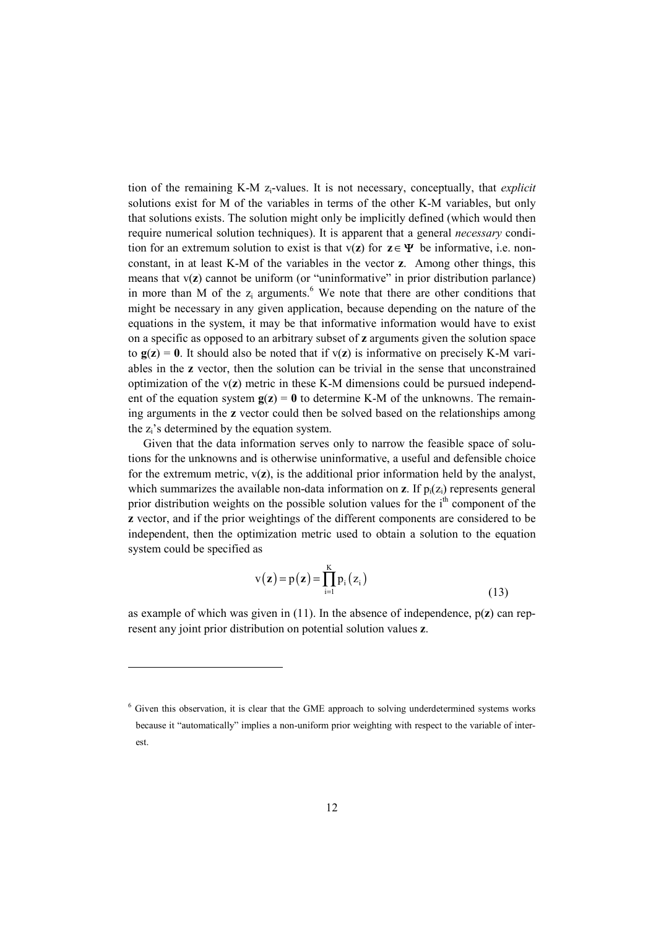tion of the remaining K-M zi-values. It is not necessary, conceptually, that *explicit* solutions exist for M of the variables in terms of the other K-M variables, but only that solutions exists. The solution might only be implicitly defined (which would then require numerical solution techniques). It is apparent that a general *necessary* condition for an extremum solution to exist is that  $v(z)$  for  $z \in \Psi$  be informative, i.e. nonconstant, in at least K-M of the variables in the vector **z**. Among other things, this means that  $v(z)$  cannot be uniform (or "uninformative" in prior distribution parlance) in more than M of the  $z_i$  arguments.<sup>6</sup> We note that there are other conditions that might be necessary in any given application, because depending on the nature of the equations in the system, it may be that informative information would have to exist on a specific as opposed to an arbitrary subset of **z** arguments given the solution space to  $g(z) = 0$ . It should also be noted that if  $v(z)$  is informative on precisely K-M variables in the **z** vector, then the solution can be trivial in the sense that unconstrained optimization of the v(**z**) metric in these K-M dimensions could be pursued independent of the equation system  $g(z) = 0$  to determine K-M of the unknowns. The remaining arguments in the **z** vector could then be solved based on the relationships among the  $z_i$ 's determined by the equation system.

Given that the data information serves only to narrow the feasible space of solutions for the unknowns and is otherwise uninformative, a useful and defensible choice for the extremum metric,  $v(z)$ , is the additional prior information held by the analyst, which summarizes the available non-data information on **z**. If  $p_i(z_i)$  represents general prior distribution weights on the possible solution values for the  $i<sup>th</sup>$  component of the **z** vector, and if the prior weightings of the different components are considered to be independent, then the optimization metric used to obtain a solution to the equation system could be specified as

$$
v(\mathbf{z}) = p(\mathbf{z}) = \prod_{i=1}^{K} p_i(z_i)
$$
\n(13)

as example of which was given in (11). In the absence of independence, p(**z**) can represent any joint prior distribution on potential solution values **z**.

 $\overline{a}$ 

 $6$  Given this observation, it is clear that the GME approach to solving underdetermined systems works because it "automatically" implies a non-uniform prior weighting with respect to the variable of interest.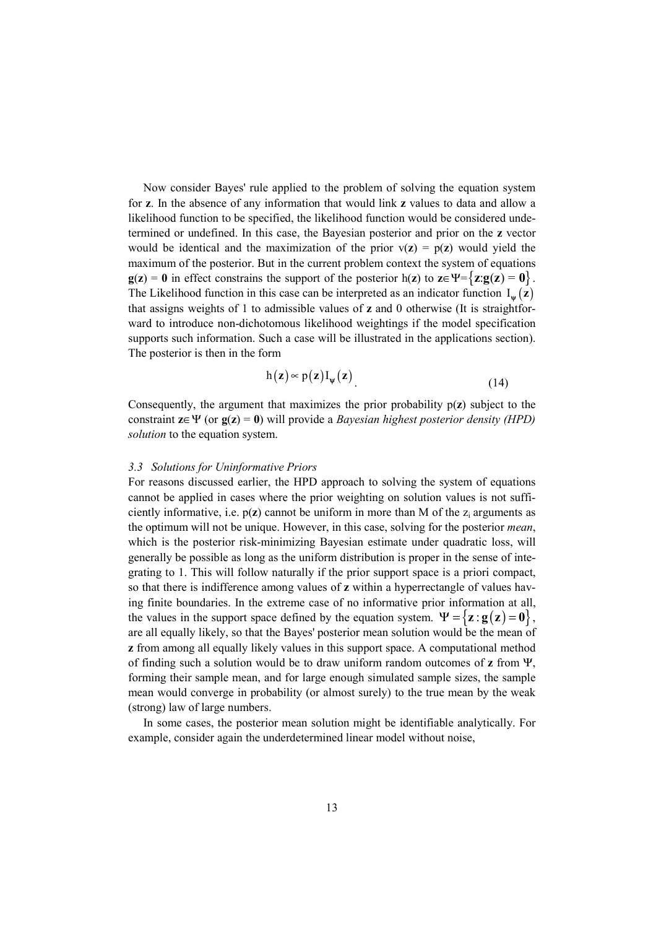Now consider Bayes' rule applied to the problem of solving the equation system for **z**. In the absence of any information that would link **z** values to data and allow a likelihood function to be specified, the likelihood function would be considered undetermined or undefined. In this case, the Bayesian posterior and prior on the **z** vector would be identical and the maximization of the prior  $v(z) = p(z)$  would yield the maximum of the posterior. But in the current problem context the system of equations **g**(**z**) = **0** in effect constrains the support of the posterior h(**z**) to **z**∈Ψ={**z**: **g**(**z**) = **0**}. The Likelihood function in this case can be interpreted as an indicator function  $I_{\psi}(z)$ that assigns weights of 1 to admissible values of **z** and 0 otherwise (It is straightforward to introduce non-dichotomous likelihood weightings if the model specification supports such information. Such a case will be illustrated in the applications section). The posterior is then in the form

$$
h(z) \approx p(z) I_{\psi}(z)
$$
 (14)

Consequently, the argument that maximizes the prior probability p(**z**) subject to the constraint **z**∈Ψ (or **g**(**z**) = **0**) will provide a *Bayesian highest posterior density (HPD) solution* to the equation system.

#### *3.3 Solutions for Uninformative Priors*

For reasons discussed earlier, the HPD approach to solving the system of equations cannot be applied in cases where the prior weighting on solution values is not sufficiently informative, i.e.  $p(z)$  cannot be uniform in more than M of the  $z_i$  arguments as the optimum will not be unique. However, in this case, solving for the posterior *mean*, which is the posterior risk-minimizing Bayesian estimate under quadratic loss, will generally be possible as long as the uniform distribution is proper in the sense of integrating to 1. This will follow naturally if the prior support space is a priori compact, so that there is indifference among values of **z** within a hyperrectangle of values having finite boundaries. In the extreme case of no informative prior information at all, the values in the support space defined by the equation system.  $\Psi = {\mathbf{z} : \mathbf{g}(\mathbf{z}) = \mathbf{0}}$ , are all equally likely, so that the Bayes' posterior mean solution would be the mean of **z** from among all equally likely values in this support space. A computational method of finding such a solution would be to draw uniform random outcomes of **z** from Ψ, forming their sample mean, and for large enough simulated sample sizes, the sample mean would converge in probability (or almost surely) to the true mean by the weak (strong) law of large numbers.

In some cases, the posterior mean solution might be identifiable analytically. For example, consider again the underdetermined linear model without noise,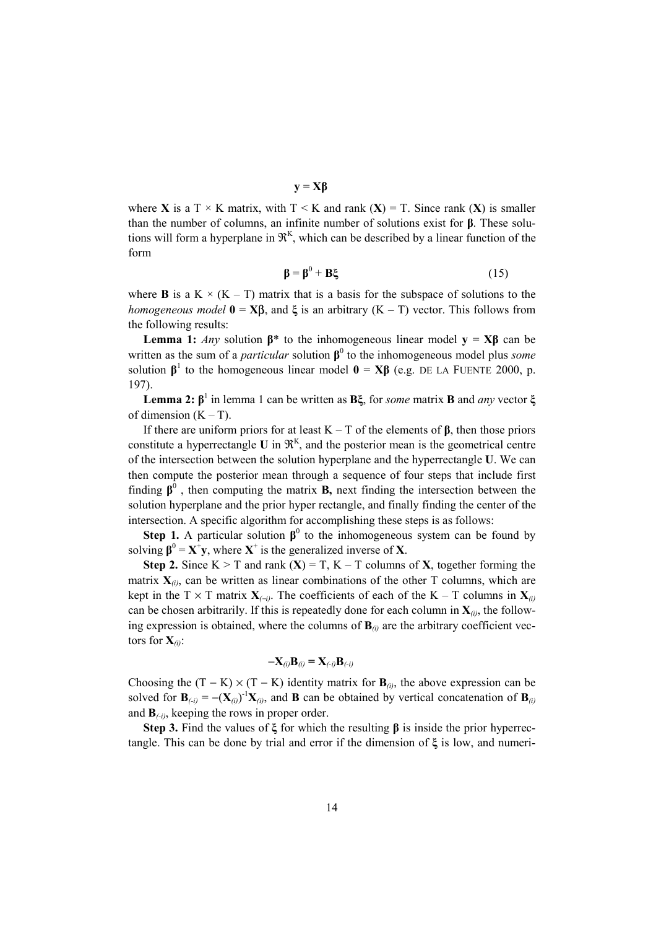**y** = **Xβ**

where **X** is a T  $\times$  K matrix, with T  $\leq$  K and rank (**X**) = T. Since rank (**X**) is smaller than the number of columns, an infinite number of solutions exist for **β**. These solutions will form a hyperplane in  $\mathfrak{R}^K$ , which can be described by a linear function of the form

$$
\beta = \beta^0 + B\xi \tag{15}
$$

where **B** is a K  $\times$  (K – T) matrix that is a basis for the subspace of solutions to the *homogeneous model*  $\mathbf{0} = \mathbf{X} \mathbf{B}$ , and  $\xi$  is an arbitrary  $(K - T)$  vector. This follows from the following results:

**Lemma 1:** *Any* solution  $\beta^*$  to the inhomogeneous linear model **y** = **X** $\beta$  can be written as the sum of a *particular* solution  $\beta^0$  to the inhomogeneous model plus *some* solution  $\beta^1$  to the homogeneous linear model  $\mathbf{0} = \mathbf{X}\beta$  (e.g. DE LA FUENTE 2000, p. 197).

**Lemma 2: β**<sup>1</sup> in lemma 1 can be written as **Bξ**, for *some* matrix **B** and *any* vector **ξ** of dimension  $(K - T)$ .

If there are uniform priors for at least K – T of the elements of **β**, then those priors constitute a hyperrectangle  $U$  in  $\mathfrak{R}^K$ , and the posterior mean is the geometrical centre of the intersection between the solution hyperplane and the hyperrectangle **U**. We can then compute the posterior mean through a sequence of four steps that include first finding  $\beta^0$ , then computing the matrix **B**, next finding the intersection between the solution hyperplane and the prior hyper rectangle, and finally finding the center of the intersection. A specific algorithm for accomplishing these steps is as follows:

**Step 1.** A particular solution  $\beta^0$  to the inhomogeneous system can be found by solving  $\beta^0 = X^+y$ , where  $X^+$  is the generalized inverse of X.

**Step 2.** Since  $K > T$  and rank  $(X) = T$ ,  $K - T$  columns of  $X$ , together forming the matrix  $\mathbf{X}_{(i)}$ , can be written as linear combinations of the other T columns, which are kept in the T  $\times$  T matrix  $\mathbf{X}_{(-i)}$ . The coefficients of each of the K – T columns in  $\mathbf{X}_{(i)}$ can be chosen arbitrarily. If this is repeatedly done for each column in  $X_{(i)}$ , the following expression is obtained, where the columns of  $\mathbf{B}_{(i)}$  are the arbitrary coefficient vectors for  $\mathbf{X}_{(i)}$ :

$$
-\mathbf{X}_{(i)}\mathbf{B}_{(i)}=\mathbf{X}_{(-i)}\mathbf{B}_{(-i)}
$$

Choosing the  $(T - K) \times (T - K)$  identity matrix for  $B_{(i)}$ , the above expression can be solved for  $\mathbf{B}_{(i)} = -(\mathbf{X}_{(i)})^{-1}\mathbf{X}_{(i)}$ , and **B** can be obtained by vertical concatenation of  $\mathbf{B}_{(i)}$ and  $\mathbf{B}_{\text{(-i)}}$ , keeping the rows in proper order.

**Step 3.** Find the values of **ξ** for which the resulting **β** is inside the prior hyperrectangle. This can be done by trial and error if the dimension of **ξ** is low, and numeri-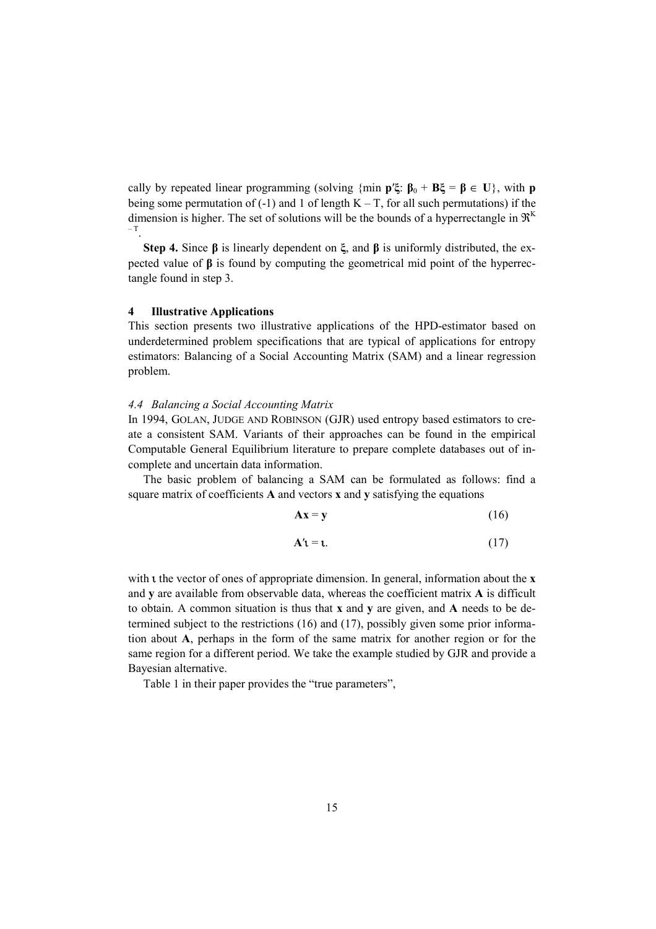cally by repeated linear programming (solving  $\{\min \mathbf{p}'\xi : \mathbf{B}_0 + \mathbf{B}\xi = \mathbf{B} \in \mathbf{U}\}\)$ , with **p** being some permutation of  $(-1)$  and 1 of length  $K - T$ , for all such permutations) if the dimension is higher. The set of solutions will be the bounds of a hyperrectangle in  $\mathfrak{R}^K$ – T

**Step 4.** Since **β** is linearly dependent on **ξ**, and **β** is uniformly distributed, the expected value of **β** is found by computing the geometrical mid point of the hyperrectangle found in step 3.

#### **4 Illustrative Applications**

This section presents two illustrative applications of the HPD-estimator based on underdetermined problem specifications that are typical of applications for entropy estimators: Balancing of a Social Accounting Matrix (SAM) and a linear regression problem.

### *4.4 Balancing a Social Accounting Matrix*

In 1994, GOLAN, JUDGE AND ROBINSON (GJR) used entropy based estimators to create a consistent SAM. Variants of their approaches can be found in the empirical Computable General Equilibrium literature to prepare complete databases out of incomplete and uncertain data information.

The basic problem of balancing a SAM can be formulated as follows: find a square matrix of coefficients **A** and vectors **x** and **y** satisfying the equations

$$
Ax = y \tag{16}
$$

$$
\mathbf{A}'\mathbf{1} = \mathbf{1}.\tag{17}
$$

with **t** the vector of ones of appropriate dimension. In general, information about the **x** and **y** are available from observable data, whereas the coefficient matrix **A** is difficult to obtain. A common situation is thus that **x** and **y** are given, and **A** needs to be determined subject to the restrictions (16) and (17), possibly given some prior information about **A**, perhaps in the form of the same matrix for another region or for the same region for a different period. We take the example studied by GJR and provide a Bayesian alternative.

Table 1 in their paper provides the "true parameters",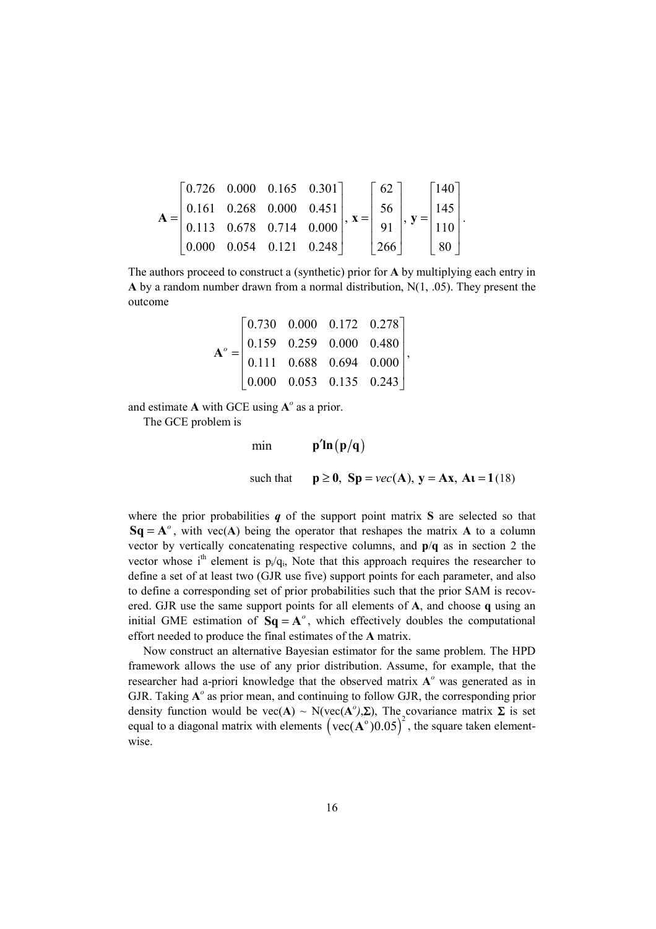$$
\mathbf{A} = \begin{bmatrix} 0.726 & 0.000 & 0.165 & 0.301 \\ 0.161 & 0.268 & 0.000 & 0.451 \\ 0.113 & 0.678 & 0.714 & 0.000 \\ 0.000 & 0.054 & 0.121 & 0.248 \end{bmatrix}, \mathbf{x} = \begin{bmatrix} 62 \\ 56 \\ 91 \\ 266 \end{bmatrix}, \mathbf{y} = \begin{bmatrix} 140 \\ 145 \\ 110 \\ 80 \end{bmatrix}.
$$

The authors proceed to construct a (synthetic) prior for **A** by multiplying each entry in **A** by a random number drawn from a normal distribution, N(1, .05). They present the outcome

$$
\mathbf{A}^{\circ} = \begin{bmatrix} 0.730 & 0.000 & 0.172 & 0.278 \\ 0.159 & 0.259 & 0.000 & 0.480 \\ 0.111 & 0.688 & 0.694 & 0.000 \\ 0.000 & 0.053 & 0.135 & 0.243 \end{bmatrix},
$$

and estimate  $\bf{A}$  with GCE using  $\bf{A}^o$  as a prior.

The GCE problem is

min **p'ln**  $(p/q)$ 

such that  $p \ge 0$ ,  $Sp = vec(A)$ ,  $y = Ax$ ,  $At = 1(18)$ 

where the prior probabilities *q* of the support point matrix **S** are selected so that  $Sq = A^\circ$ , with vec(A) being the operator that reshapes the matrix A to a column vector by vertically concatenating respective columns, and **p**/**q** as in section 2 the vector whose i<sup>th</sup> element is  $p_i/q_i$ . Note that this approach requires the researcher to define a set of at least two (GJR use five) support points for each parameter, and also to define a corresponding set of prior probabilities such that the prior SAM is recovered. GJR use the same support points for all elements of **A**, and choose **q** using an initial GME estimation of  $Sq = A^\circ$ , which effectively doubles the computational effort needed to produce the final estimates of the **A** matrix.

Now construct an alternative Bayesian estimator for the same problem. The HPD framework allows the use of any prior distribution. Assume, for example, that the researcher had a-priori knowledge that the observed matrix **A***<sup>o</sup>* was generated as in GJR. Taking **A***<sup>o</sup>* as prior mean, and continuing to follow GJR, the corresponding prior density function would be vec( $\mathbf{A}$ ) ~ N(vec( $\mathbf{A}^o$ ), $\Sigma$ ), The covariance matrix  $\Sigma$  is set equal to a diagonal matrix with elements  $\left( \text{vec}(\mathbf{A}^{\circ})0.05 \right)^2$ , the square taken elementwise.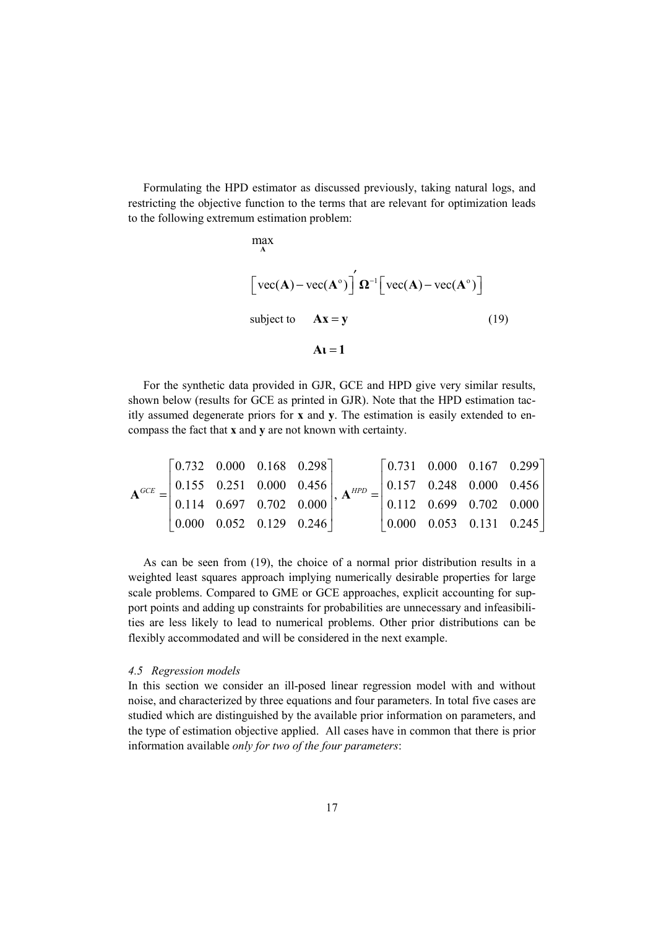Formulating the HPD estimator as discussed previously, taking natural logs, and restricting the objective function to the terms that are relevant for optimization leads to the following extremum estimation problem:

$$
\max_{\mathbf{A}}
$$
\n
$$
\left[\text{vec}(\mathbf{A}) - \text{vec}(\mathbf{A}^{\circ})\right] \mathbf{\Omega}^{-1} \left[\text{vec}(\mathbf{A}) - \text{vec}(\mathbf{A}^{\circ})\right]
$$
\nsubject to\n
$$
\mathbf{A}\mathbf{x} = \mathbf{y}
$$
\n(19)\n
$$
\mathbf{A}\mathbf{I} = \mathbf{1}
$$

For the synthetic data provided in GJR, GCE and HPD give very similar results, shown below (results for GCE as printed in GJR). Note that the HPD estimation tacitly assumed degenerate priors for **x** and **y**. The estimation is easily extended to encompass the fact that **x** and **y** are not known with certainty.

$$
\mathbf{A}^{GCE} = \begin{bmatrix} 0.732 & 0.000 & 0.168 & 0.298 \\ 0.155 & 0.251 & 0.000 & 0.456 \\ 0.114 & 0.697 & 0.702 & 0.000 \\ 0.000 & 0.052 & 0.129 & 0.246 \end{bmatrix}, \ \mathbf{A}^{HPD} = \begin{bmatrix} 0.731 & 0.000 & 0.167 & 0.299 \\ 0.157 & 0.248 & 0.000 & 0.456 \\ 0.112 & 0.699 & 0.702 & 0.000 \\ 0.000 & 0.053 & 0.131 & 0.245 \end{bmatrix}
$$

As can be seen from (19), the choice of a normal prior distribution results in a weighted least squares approach implying numerically desirable properties for large scale problems. Compared to GME or GCE approaches, explicit accounting for support points and adding up constraints for probabilities are unnecessary and infeasibilities are less likely to lead to numerical problems. Other prior distributions can be flexibly accommodated and will be considered in the next example.

#### *4.5 Regression models*

In this section we consider an ill-posed linear regression model with and without noise, and characterized by three equations and four parameters. In total five cases are studied which are distinguished by the available prior information on parameters, and the type of estimation objective applied. All cases have in common that there is prior information available *only for two of the four parameters*: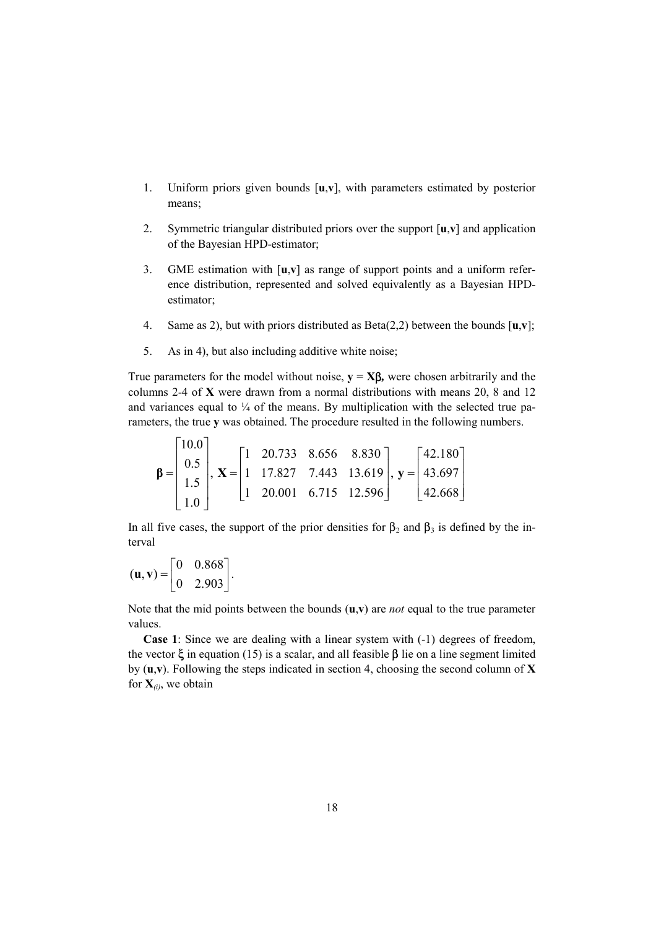- 1. Uniform priors given bounds [**u**,**v**], with parameters estimated by posterior means;
- 2. Symmetric triangular distributed priors over the support [**u**,**v**] and application of the Bayesian HPD-estimator;
- 3. GME estimation with [**u**,**v**] as range of support points and a uniform reference distribution, represented and solved equivalently as a Bayesian HPDestimator;
- 4. Same as 2), but with priors distributed as Beta(2,2) between the bounds [**u**,**v**];
- 5. As in 4), but also including additive white noise;

True parameters for the model without noise,  $\mathbf{v} = \mathbf{X}\boldsymbol{\beta}$ , were chosen arbitrarily and the columns 2-4 of **X** were drawn from a normal distributions with means 20, 8 and 12 and variances equal to  $\frac{1}{4}$  of the means. By multiplication with the selected true parameters, the true **y** was obtained. The procedure resulted in the following numbers.

$$
\mathbf{\beta} = \begin{bmatrix} 10.0 \\ 0.5 \\ 1.5 \\ 1.0 \end{bmatrix}, \mathbf{X} = \begin{bmatrix} 1 & 20.733 & 8.656 & 8.830 \\ 1 & 17.827 & 7.443 & 13.619 \\ 1 & 20.001 & 6.715 & 12.596 \end{bmatrix}, \mathbf{y} = \begin{bmatrix} 42.180 \\ 43.697 \\ 42.668 \end{bmatrix}
$$

In all five cases, the support of the prior densities for  $\beta_2$  and  $\beta_3$  is defined by the interval

$$
(\mathbf{u}, \mathbf{v}) = \begin{bmatrix} 0 & 0.868 \\ 0 & 2.903 \end{bmatrix}.
$$

Note that the mid points between the bounds (**u**,**v**) are *not* equal to the true parameter values.

**Case 1**: Since we are dealing with a linear system with (-1) degrees of freedom, the vector  $\xi$  in equation (15) is a scalar, and all feasible  $\beta$  lie on a line segment limited by (**u**,**v**). Following the steps indicated in section 4, choosing the second column of **X**  for  $X_{(i)}$ , we obtain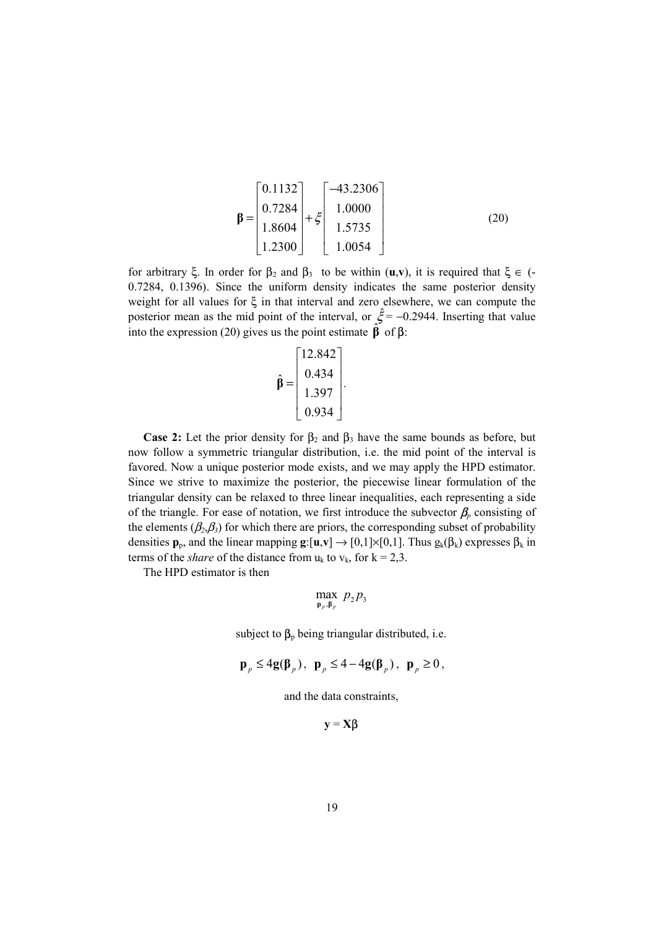$$
\mathbf{\beta} = \begin{bmatrix} 0.1132 \\ 0.7284 \\ 1.8604 \\ 1.2300 \end{bmatrix} + \xi \begin{bmatrix} -43.2306 \\ 1.0000 \\ 1.5735 \\ 1.0054 \end{bmatrix}
$$
 (20)

for arbitrary ξ. In order for  $\beta_2$  and  $\beta_3$  to be within (**u**,**v**), it is required that ξ  $\epsilon$  (-0.7284, 0.1396). Since the uniform density indicates the same posterior density weight for all values for ξ in that interval and zero elsewhere, we can compute the posterior mean as the mid point of the interval, or  $\hat{\xi} = -0.2944$ . Inserting that value into the expression (20) gives us the point estimate  $\hat{\beta}$  of  $\beta$ :

$$
\hat{\beta} = \begin{bmatrix} 12.842 \\ 0.434 \\ 1.397 \\ 0.934 \end{bmatrix}.
$$

**Case 2:** Let the prior density for  $\beta_2$  and  $\beta_3$  have the same bounds as before, but now follow a symmetric triangular distribution, i.e. the mid point of the interval is favored. Now a unique posterior mode exists, and we may apply the HPD estimator. Since we strive to maximize the posterior, the piecewise linear formulation of the triangular density can be relaxed to three linear inequalities, each representing a side of the triangle. For ease of notation, we first introduce the subvector  $\beta_p$  consisting of the elements  $(\beta_2, \beta_3)$  for which there are priors, the corresponding subset of probability densities  $\mathbf{p}_p$ , and the linear mapping  $\mathbf{g}:[\mathbf{u},\mathbf{v}] \to [0,1] \times [0,1]$ . Thus  $g_k(\beta_k)$  expresses  $\beta_k$  in terms of the *share* of the distance from  $u_k$  to  $v_k$ , for  $k = 2,3$ .

The HPD estimator is then

$$
\max_{\mathbf{p}_p,\mathbf{p}_p} p_2 p_3
$$

subject to  $\beta_p$  being triangular distributed, i.e.

$$
\mathbf{p}_p \le 4\mathbf{g}(\boldsymbol{\beta}_p), \ \mathbf{p}_p \le 4 - 4\mathbf{g}(\boldsymbol{\beta}_p), \ \mathbf{p}_p \ge 0,
$$

and the data constraints,

 $y = X\beta$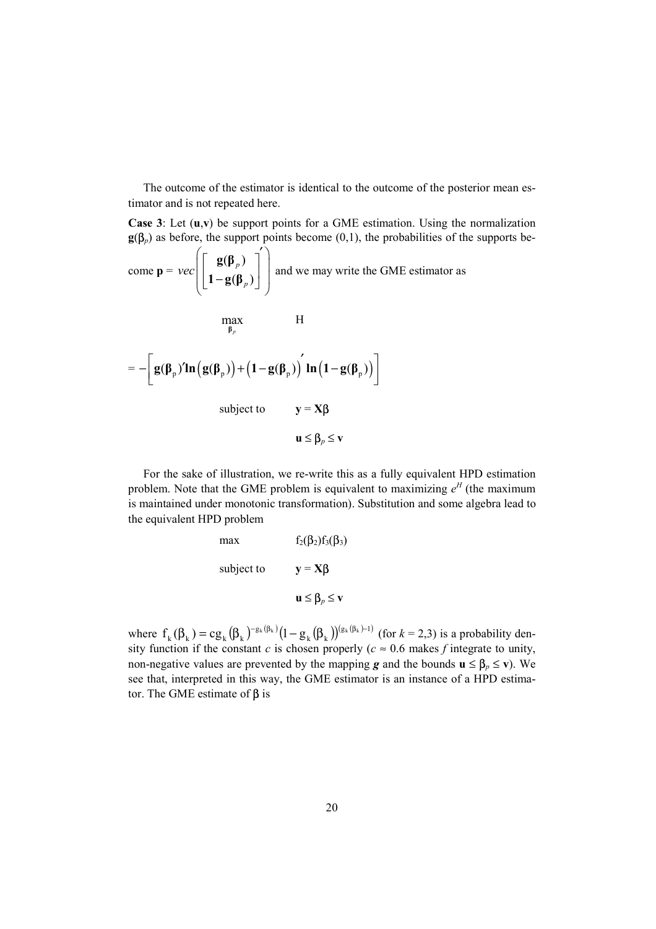The outcome of the estimator is identical to the outcome of the posterior mean estimator and is not repeated here.

**Case 3**: Let (**u**,**v**) be support points for a GME estimation. Using the normalization  $g(\beta_p)$  as before, the support points become (0,1), the probabilities of the supports be-

come  $p =$  $(\beta_n)$  $(\beta_n)$ *p p vec*  $\left[\begin{bmatrix} \mathbf{g}(\boldsymbol{\beta}_{p}) \\ \mathbf{1} - \mathbf{g}(\boldsymbol{\beta}_{p}) \end{bmatrix}^{\prime} \right]$ **1** –  $\mathbf{g}(\mathbf{\beta}_n)$  and we may write the GME estimator as

H

$$
\max_{\beta_{p}} \qquad \qquad H
$$
\n
$$
= -\left[ g(\beta_{p})' \ln\left(g(\beta_{p})\right) + \left(1 - g(\beta_{p})\right)' \ln\left(1 - g(\beta_{p})\right) \right]
$$
\n
$$
\text{subject to} \qquad \qquad y = X\beta
$$
\n
$$
u \leq \beta_{p} \leq v
$$

For the sake of illustration, we re-write this as a fully equivalent HPD estimation problem. Note that the GME problem is equivalent to maximizing  $e^H$  (the maximum is maintained under monotonic transformation). Substitution and some algebra lead to the equivalent HPD problem

max 
$$
f_2(\beta_2)f_3(\beta_3)
$$
  
subject to  $y = X\beta$   
 $u \leq \beta_p \leq v$ 

where  $f_k(\beta_k) = cg_k(\beta_k)^{-g_k(\beta_k)}(1-g_k(\beta_k))^{(g_k(\beta_k)-1)}$ g  $f_k(\beta_k) = cg_k(\beta_k)^{-g_k(\beta_k)}(1-g_k(\beta_k))^{(g_k(\beta_k)-1)}$  (for  $k = 2,3$ ) is a probability density function if the constant *c* is chosen properly ( $c \approx 0.6$  makes *f* integrate to unity, non-negative values are prevented by the mapping *g* and the bounds  $\mathbf{u} \leq \beta_p \leq \mathbf{v}$ ). We see that, interpreted in this way, the GME estimator is an instance of a HPD estimator. The GME estimate of  $\beta$  is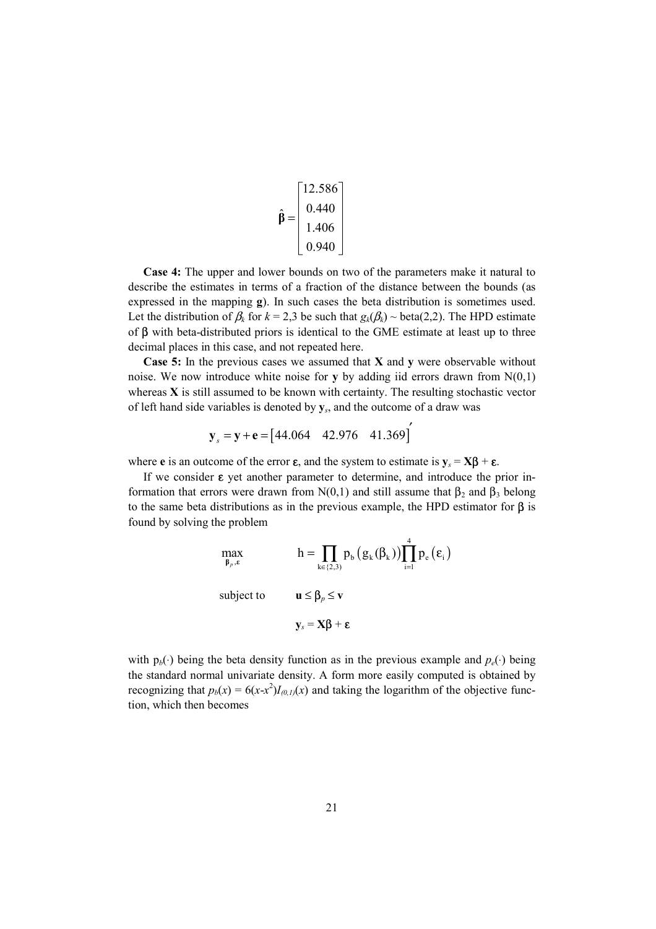$$
\hat{\beta} = \begin{bmatrix} 12.586 \\ 0.440 \\ 1.406 \\ 0.940 \end{bmatrix}
$$

**Case 4:** The upper and lower bounds on two of the parameters make it natural to describe the estimates in terms of a fraction of the distance between the bounds (as expressed in the mapping **g**). In such cases the beta distribution is sometimes used. Let the distribution of  $\beta_k$  for  $k = 2,3$  be such that  $g_k(\beta_k) \sim \text{beta}(2,2)$ . The HPD estimate of β with beta-distributed priors is identical to the GME estimate at least up to three decimal places in this case, and not repeated here.

**Case 5:** In the previous cases we assumed that **X** and **y** were observable without noise. We now introduce white noise for **y** by adding iid errors drawn from  $N(0,1)$ whereas **X** is still assumed to be known with certainty. The resulting stochastic vector of left hand side variables is denoted by **y***s*, and the outcome of a draw was

$$
y_s = y + e = [44.064 \quad 42.976 \quad 41.369]
$$

where **e** is an outcome of the error **ε**, and the system to estimate is  $y_s = X\beta + \varepsilon$ .

If we consider  $\varepsilon$  yet another parameter to determine, and introduce the prior information that errors were drawn from N(0,1) and still assume that  $\beta_2$  and  $\beta_3$  belong to the same beta distributions as in the previous example, the HPD estimator for  $\beta$  is found by solving the problem

$$
\max_{\beta_p, \varepsilon} \qquad h = \prod_{k \in \{2,3\}} p_b \left( g_k(\beta_k) \right) \prod_{i=1}^4 p_e \left( \varepsilon_i \right)
$$
\n
$$
\text{subject to} \qquad \mathbf{u} \le \beta_p \le \mathbf{v}
$$
\n
$$
\mathbf{y}_s = \mathbf{X} \beta + \mathbf{\varepsilon}
$$

with  $p_b(·)$  being the beta density function as in the previous example and  $p_e(·)$  being the standard normal univariate density. A form more easily computed is obtained by recognizing that  $p_b(x) = 6(x-x^2)I_{(0,1)}(x)$  and taking the logarithm of the objective function, which then becomes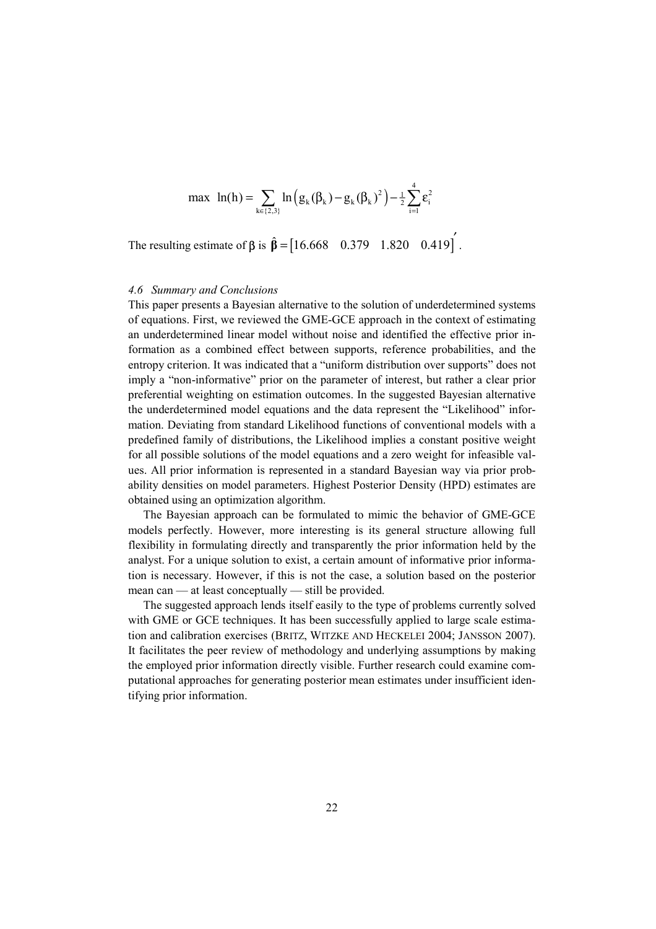$$
\max \; ln(h) = \sum_{k \in \{2,3\}} ln (g_k(\beta_k) - g_k(\beta_k)^2) - \frac{1}{2} \sum_{i=1}^4 \varepsilon_i^2
$$

The resulting estimate of  $\beta$  is  $\hat{\beta} = [16.668 \quad 0.379 \quad 1.820 \quad 0.419]$ .

#### *4.6 Summary and Conclusions*

This paper presents a Bayesian alternative to the solution of underdetermined systems of equations. First, we reviewed the GME-GCE approach in the context of estimating an underdetermined linear model without noise and identified the effective prior information as a combined effect between supports, reference probabilities, and the entropy criterion. It was indicated that a "uniform distribution over supports" does not imply a "non-informative" prior on the parameter of interest, but rather a clear prior preferential weighting on estimation outcomes. In the suggested Bayesian alternative the underdetermined model equations and the data represent the "Likelihood" information. Deviating from standard Likelihood functions of conventional models with a predefined family of distributions, the Likelihood implies a constant positive weight for all possible solutions of the model equations and a zero weight for infeasible values. All prior information is represented in a standard Bayesian way via prior probability densities on model parameters. Highest Posterior Density (HPD) estimates are obtained using an optimization algorithm.

The Bayesian approach can be formulated to mimic the behavior of GME-GCE models perfectly. However, more interesting is its general structure allowing full flexibility in formulating directly and transparently the prior information held by the analyst. For a unique solution to exist, a certain amount of informative prior information is necessary. However, if this is not the case, a solution based on the posterior mean can — at least conceptually — still be provided.

The suggested approach lends itself easily to the type of problems currently solved with GME or GCE techniques. It has been successfully applied to large scale estimation and calibration exercises (BRITZ, WITZKE AND HECKELEI 2004; JANSSON 2007). It facilitates the peer review of methodology and underlying assumptions by making the employed prior information directly visible. Further research could examine computational approaches for generating posterior mean estimates under insufficient identifying prior information.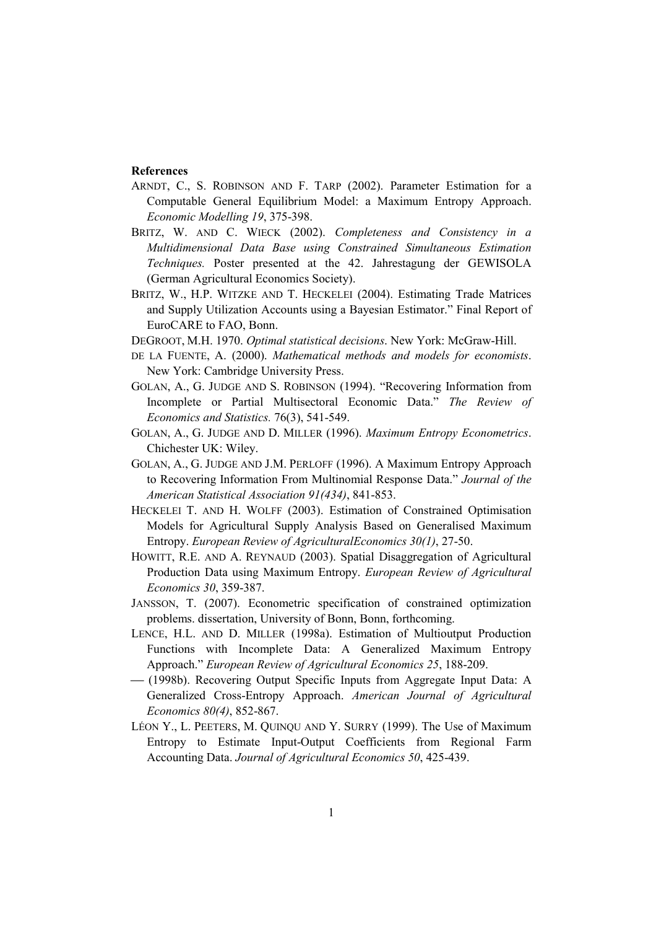#### **References**

- ARNDT, C., S. ROBINSON AND F. TARP (2002). Parameter Estimation for a Computable General Equilibrium Model: a Maximum Entropy Approach. *Economic Modelling 19*, 375-398.
- BRITZ, W. AND C. WIECK (2002). *Completeness and Consistency in a Multidimensional Data Base using Constrained Simultaneous Estimation Techniques.* Poster presented at the 42. Jahrestagung der GEWISOLA (German Agricultural Economics Society).
- BRITZ, W., H.P. WITZKE AND T. HECKELEI (2004). Estimating Trade Matrices and Supply Utilization Accounts using a Bayesian Estimator." Final Report of EuroCARE to FAO, Bonn.
- DEGROOT, M.H. 1970. *Optimal statistical decisions*. New York: McGraw-Hill.
- DE LA FUENTE, A. (2000). *Mathematical methods and models for economists*. New York: Cambridge University Press.
- GOLAN, A., G. JUDGE AND S. ROBINSON (1994). "Recovering Information from Incomplete or Partial Multisectoral Economic Data." *The Review of Economics and Statistics.* 76(3), 541-549.
- GOLAN, A., G. JUDGE AND D. MILLER (1996). *Maximum Entropy Econometrics*. Chichester UK: Wiley.
- GOLAN, A., G. JUDGE AND J.M. PERLOFF (1996). A Maximum Entropy Approach to Recovering Information From Multinomial Response Data." *Journal of the American Statistical Association 91(434)*, 841-853.
- HECKELEI T. AND H. WOLFF (2003). Estimation of Constrained Optimisation Models for Agricultural Supply Analysis Based on Generalised Maximum Entropy. *European Review of AgriculturalEconomics 30(1)*, 27-50.
- HOWITT, R.E. AND A. REYNAUD (2003). Spatial Disaggregation of Agricultural Production Data using Maximum Entropy. *European Review of Agricultural Economics 30*, 359-387.
- JANSSON, T. (2007). Econometric specification of constrained optimization problems. dissertation, University of Bonn, Bonn, forthcoming.
- LENCE, H.L. AND D. MILLER (1998a). Estimation of Multioutput Production Functions with Incomplete Data: A Generalized Maximum Entropy Approach." *European Review of Agricultural Economics 25*, 188-209.
- ⎯ (1998b). Recovering Output Specific Inputs from Aggregate Input Data: A Generalized Cross-Entropy Approach. *American Journal of Agricultural Economics 80(4)*, 852-867.
- LÉON Y., L. PEETERS, M. QUINQU AND Y. SURRY (1999). The Use of Maximum Entropy to Estimate Input-Output Coefficients from Regional Farm Accounting Data. *Journal of Agricultural Economics 50*, 425-439.